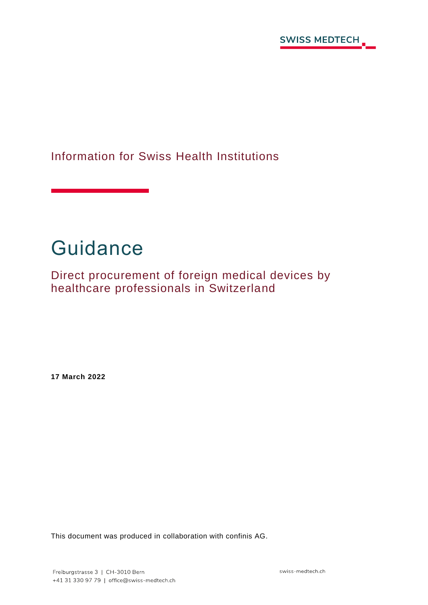

Information for Swiss Health Institutions

# **Guidance**

Direct procurement of foreign medical devices by healthcare professionals in Switzerland

**17 March 2022**

This document was produced in collaboration with confinis AG.

swiss-medtech.ch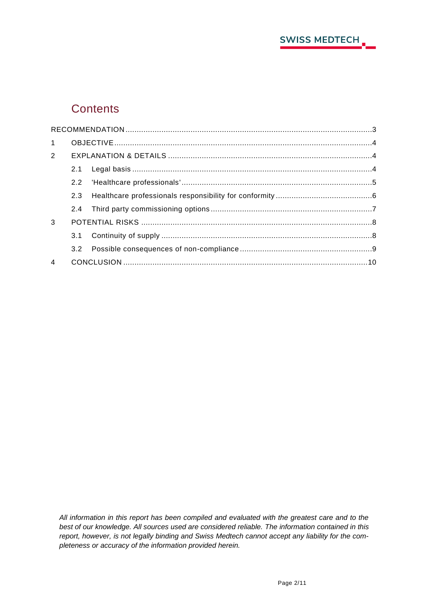

## **Contents**

| 1              |  |  |  |  |
|----------------|--|--|--|--|
| $2^{\circ}$    |  |  |  |  |
|                |  |  |  |  |
|                |  |  |  |  |
|                |  |  |  |  |
|                |  |  |  |  |
| 3              |  |  |  |  |
|                |  |  |  |  |
|                |  |  |  |  |
| $\overline{4}$ |  |  |  |  |

*All information in this report has been compiled and evaluated with the greatest care and to the best of our knowledge. All sources used are considered reliable. The information contained in this report, however, is not legally binding and Swiss Medtech cannot accept any liability for the completeness or accuracy of the information provided herein.*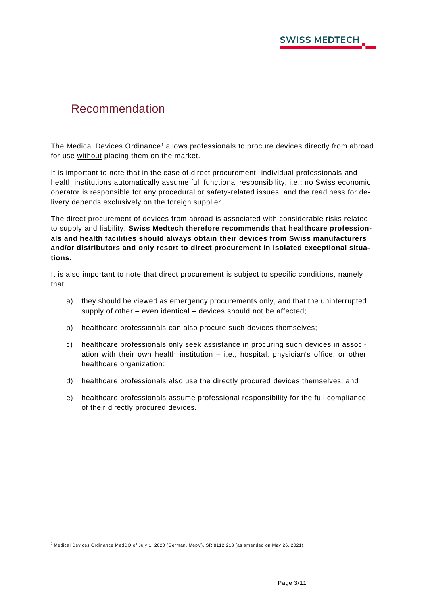## <span id="page-2-0"></span>Recommendation

The Medical Devices Ordinance<sup>1</sup> allows professionals to procure devices directly from abroad for use without placing them on the market.

It is important to note that in the case of direct procurement, individual professionals and health institutions automatically assume full functional responsibility, i.e.: no Swiss economic operator is responsible for any procedural or safety-related issues, and the readiness for delivery depends exclusively on the foreign supplier.

The direct procurement of devices from abroad is associated with considerable risks related to supply and liability. **Swiss Medtech therefore recommends that healthcare professionals and health facilities should always obtain their devices from Swiss manufacturers and/or distributors and only resort to direct procurement in isolated exceptional situations.**

It is also important to note that direct procurement is subject to specific conditions, namely that

- a) they should be viewed as emergency procurements only, and that the uninterrupted supply of other – even identical – devices should not be affected;
- b) healthcare professionals can also procure such devices themselves;
- c) healthcare professionals only seek assistance in procuring such devices in association with their own health institution – i.e., hospital, physician's office, or other healthcare organization;
- d) healthcare professionals also use the directly procured devices themselves; and
- e) healthcare professionals assume professional responsibility for the full compliance of their directly procured devices*.*

<sup>1</sup> Medical Devices Ordinance MedDO of July 1, 2020 (German, MepV), SR 8112.213 (as amended on May 26, 2021).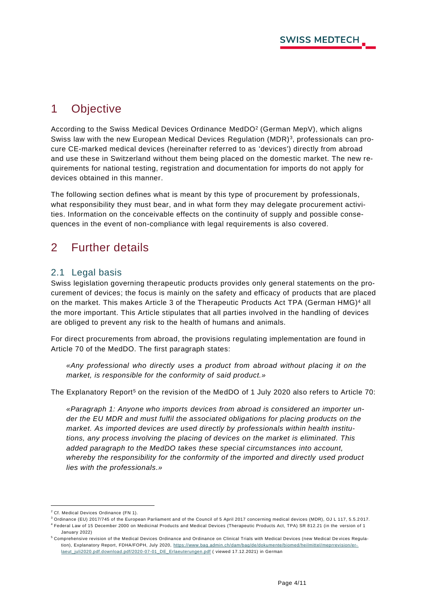## <span id="page-3-0"></span>1 Objective

According to the Swiss Medical Devices Ordinance MedDO<sup>2</sup> (German MepV), which aligns Swiss law with the new European Medical Devices Regulation (MDR)<sup>3</sup>, professionals can procure CE-marked medical devices (hereinafter referred to as 'devices') directly from abroad and use these in Switzerland without them being placed on the domestic market. The new requirements for national testing, registration and documentation for imports do not apply for devices obtained in this manner.

The following section defines what is meant by this type of procurement by professionals, what responsibility they must bear, and in what form they may delegate procurement activities. Information on the conceivable effects on the continuity of supply and possible consequences in the event of non-compliance with legal requirements is also covered.

## <span id="page-3-1"></span>2 Further details

#### <span id="page-3-2"></span>2.1 Legal basis

Swiss legislation governing therapeutic products provides only general statements on the procurement of devices; the focus is mainly on the safety and efficacy of products that are placed on the market. This makes Article 3 of the Therapeutic Products Act TPA (German HMG)<sup>4</sup> all the more important. This Article stipulates that all parties involved in the handling of devices are obliged to prevent any risk to the health of humans and animals.

For direct procurements from abroad, the provisions regulating implementation are found in Article 70 of the MedDO. The first paragraph states:

*«Any professional who directly uses a product from abroad without placing it on the market, is responsible for the conformity of said product.»*

The Explanatory Report<sup>5</sup> on the revision of the MedDO of 1 July 2020 also refers to Article 70:

*«Paragraph 1: Anyone who imports devices from abroad is considered an importer under the EU MDR and must fulfil the associated obligations for placing products on the market. As imported devices are used directly by professionals within health institutions, any process involving the placing of devices on the market is eliminated. This added paragraph to the MedDO takes these special circumstances into account, whereby the responsibility for the conformity of the imported and directly used product lies with the professionals.»*

<sup>2</sup> Cf. Medical Devices Ordinance (FN 1).

<sup>3</sup> Ordinance (EU) 2017/745 of the European Parliament and of the Council of 5 April 2017 concerning medical devices (MDR), OJ L 117, 5.5.2 017.

<sup>4</sup> Federal Law of 15 December 2000 on Medicinal Products and Medical Devices (Therapeutic Products Act, TPA) SR 812.21 (in the version of 1 January 2022)

<sup>5</sup> Comprehensive revision of the Medical Devices Ordinance and Ordinance on Clinical Trials with Medical Devices (new Medical De vices Regulation). Explanatory Report, FDHA/FOPH, July 2020, [https://www.bag.admin.ch/dam/bag/de/dokumente/biomed/heilmittel/meprrevision/er](https://www.bag.admin.ch/dam/bag/de/dokumente/biomed/heilmittel/meprrevision/erlaeut_juli2020.pdf.download.pdf/2020-07-01_DE_Erlaeuterungen.pdf)[laeut\\_juli2020.pdf.download.pdf/2020-07-01\\_DE\\_Erlaeuterungen.pdf](https://www.bag.admin.ch/dam/bag/de/dokumente/biomed/heilmittel/meprrevision/erlaeut_juli2020.pdf.download.pdf/2020-07-01_DE_Erlaeuterungen.pdf) ( viewed 17.12.2021) in German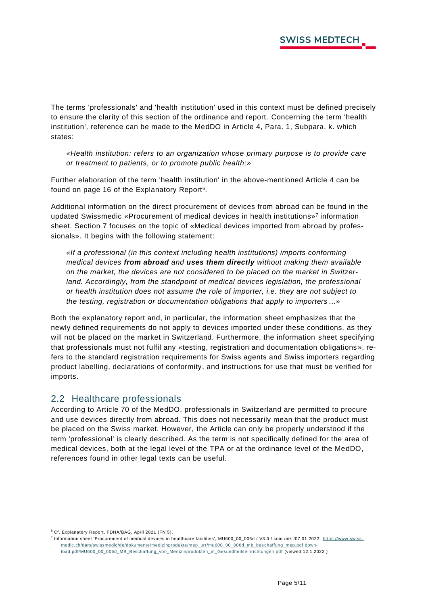The terms 'professionals' and 'health institution' used in this context must be defined precisely to ensure the clarity of this section of the ordinance and report. Concerning the term 'health institution', reference can be made to the MedDO in Article 4, Para. 1, Subpara. k. which states:

*«Health institution: refers to an organization whose primary purpose is to provide care or treatment to patients, or to promote public health;»*

Further elaboration of the term 'health institution' in the above-mentioned Article 4 can be found on page 16 of the Explanatory Report<sup>6</sup>.

Additional information on the direct procurement of devices from abroad can be found in the updated Swissmedic «Procurement of medical devices in health institutions» 7 information sheet. Section 7 focuses on the topic of «Medical devices imported from abroad by professionals». It begins with the following statement:

*«If a professional (in this context including health institutions) imports conforming medical devices from abroad and uses them directly without making them available on the market, the devices are not considered to be placed on the market in Switzerland. Accordingly, from the standpoint of medical devices legislation, the professional or health institution does not assume the role of importer, i.e. they are not subject to the testing, registration or documentation obligations that apply to importers…»*

Both the explanatory report and, in particular, the information sheet emphasizes that the newly defined requirements do not apply to devices imported under these conditions, as they will not be placed on the market in Switzerland. Furthermore, the information sheet specifying that professionals must not fulfil any «testing, registration and documentation obligations», refers to the standard registration requirements for Swiss agents and Swiss importers regarding product labelling, declarations of conformity, and instructions for use that must be verified for imports.

#### <span id="page-4-0"></span>2.2 Healthcare professionals

According to Article 70 of the MedDO, professionals in Switzerland are permitted to procure and use devices directly from abroad. This does not necessarily mean that the product must be placed on the Swiss market. However, the Article can only be properly understood if the term 'professional' is clearly described. As the term is not specifically defined for the area of medical devices, both at the legal level of the TPA or at the ordinance level of the MedDO, references found in other legal texts can be useful.

<sup>6</sup> Cf. Explanatory Report, FDHA/BAG, April 2021 (FN 5).

<sup>&</sup>lt;sup>7</sup> Information sheet 'Procurement of medical devices in healthcare facilities', MU600\_00\_006d / V3.0 / com /mk /07.01.2022, [https://www.swiss](https://www.swissmedic.ch/dam/swissmedic/de/dokumente/medizinprodukte/mep_urr/mu600_00_006d_mb_beschaffung_mep.pdf.download.pdf/MU600_00_006d_MB_Beschaffung_von_Medizinprodukten_in_Gesundheitseinrichtungen.pdf)[medic.ch/dam/swissmedic/de/dokumente/medizinprodukte/mep\\_urr/mu600\\_00\\_006d\\_mb\\_bes](https://www.swissmedic.ch/dam/swissmedic/de/dokumente/medizinprodukte/mep_urr/mu600_00_006d_mb_beschaffung_mep.pdf.download.pdf/MU600_00_006d_MB_Beschaffung_von_Medizinprodukten_in_Gesundheitseinrichtungen.pdf) chaffung\_mep.pdf.down[load.pdf/MU600\\_00\\_006d\\_MB\\_Beschaffung\\_von\\_Medizinprodukten\\_in\\_Gesundheitseinrichtungen.pdf](https://www.swissmedic.ch/dam/swissmedic/de/dokumente/medizinprodukte/mep_urr/mu600_00_006d_mb_beschaffung_mep.pdf.download.pdf/MU600_00_006d_MB_Beschaffung_von_Medizinprodukten_in_Gesundheitseinrichtungen.pdf) (viewed 12.1.2022)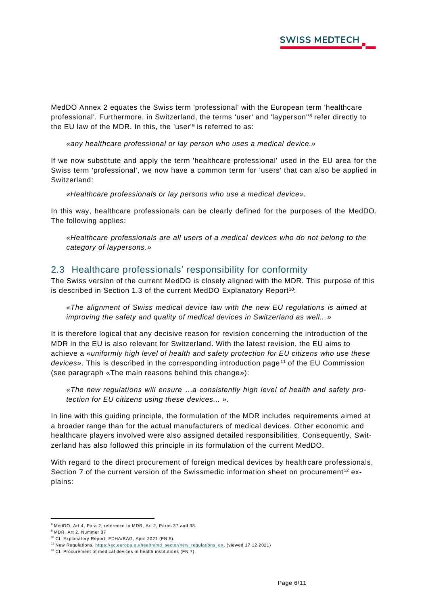MedDO Annex 2 equates the Swiss term 'professional' with the European term 'healthcare professional'. Furthermore, in Switzerland, the terms 'user' and 'layperson''<sup>8</sup> refer directly to the EU law of the MDR. In this, the 'user'<sup>9</sup> is referred to as:

*«any healthcare professional or lay person who uses a medical device.»*

If we now substitute and apply the term 'healthcare professional' used in the EU area for the Swiss term 'professional', we now have a common term for 'users' that can also be applied in Switzerland:

*«Healthcare professionals or lay persons who use a medical device».*

In this way, healthcare professionals can be clearly defined for the purposes of the MedDO. The following applies:

*«Healthcare professionals are all users of a medical devices who do not belong to the category of laypersons.»*

#### <span id="page-5-0"></span>2.3 Healthcare professionals' responsibility for conformity

The Swiss version of the current MedDO is closely aligned with the MDR. This purpose of this is described in Section 1.3 of the current MedDO Explanatory Report<sup>10</sup>:

*«The alignment of Swiss medical device law with the new EU regulations is aimed at improving the safety and quality of medical devices in Switzerland as well...»*

It is therefore logical that any decisive reason for revision concerning the introduction of the MDR in the EU is also relevant for Switzerland. With the latest revision, the EU aims to achieve a «*uniformly high level of health and safety protection for EU citizens who use these*  devices». This is described in the corresponding introduction page<sup>11</sup> of the EU Commission (see paragraph «The main reasons behind this change»):

*«The new regulations will ensure …a consistently high level of health and safety protection for EU citizens using these devices... ».*

In line with this guiding principle, the formulation of the MDR includes requirements aimed at a broader range than for the actual manufacturers of medical devices. Other economic and healthcare players involved were also assigned detailed responsibilities. Consequently, Switzerland has also followed this principle in its formulation of the current MedDO.

With regard to the direct procurement of foreign medical devices by healthcare professionals, Section 7 of the current version of the Swissmedic information sheet on procurement<sup>12</sup> explains:

<sup>8</sup> MedDO, Art 4, Para 2, reference to MDR, Art 2, Paras 37 and 38.

<sup>9</sup> MDR, Art 2, Nummer 37

<sup>10</sup> Cf. Explanatory Report, FDHA/BAG, April 2021 (FN 5).

<sup>&</sup>lt;sup>11</sup> New Regulations, [https://ec.europa.eu/health/md\\_sector/new\\_regulations\\_en,](https://ec.europa.eu/health/md_sector/new_regulations_en) (viewed 17.12.2021)

<sup>&</sup>lt;sup>12</sup> Cf. Procurement of medical devices in health institutions (FN 7).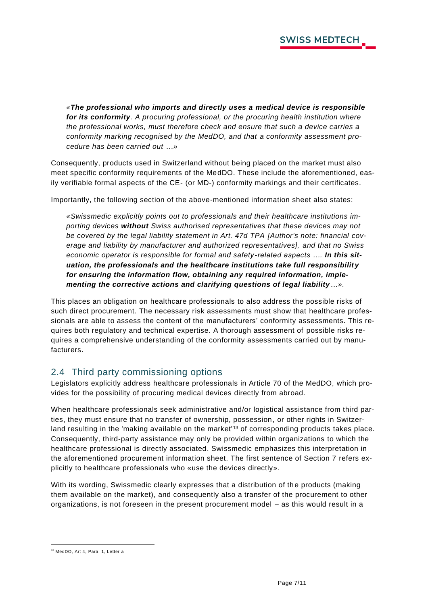*«The professional who imports and directly uses a medical device is responsible for its conformity. A procuring professional, or the procuring health institution where the professional works, must therefore check and ensure that such a device carries a conformity marking recognised by the MedDO, and that a conformity assessment procedure has been carried out …»*

Consequently, products used in Switzerland without being placed on the market must also meet specific conformity requirements of the MedDO. These include the aforementioned, easily verifiable formal aspects of the CE- (or MD-) conformity markings and their certificates.

Importantly, the following section of the above-mentioned information sheet also states:

*«Swissmedic explicitly points out to professionals and their healthcare institutions importing devices without Swiss authorised representatives that these devices may not be covered by the legal liability statement in Art. 47d TPA [Author's note: financial coverage and liability by manufacturer and authorized representatives], and that no Swiss*  economic operator is responsible for formal and safety-related aspects .... In this sit*uation, the professionals and the healthcare institutions take full responsibilit y for ensuring the information flow, obtaining any required information, implementing the corrective actions and clarifying questions of legal liability…».*

This places an obligation on healthcare professionals to also address the possible risks of such direct procurement. The necessary risk assessments must show that healthcare professionals are able to assess the content of the manufacturers' conformity assessments. This requires both regulatory and technical expertise. A thorough assessment of possible risks requires a comprehensive understanding of the conformity assessments carried out by manufacturers.

#### <span id="page-6-0"></span>2.4 Third party commissioning options

Legislators explicitly address healthcare professionals in Article 70 of the MedDO, which provides for the possibility of procuring medical devices directly from abroad.

When healthcare professionals seek administrative and/or logistical assistance from third parties, they must ensure that no transfer of ownership, possession, or other rights in Switzerland resulting in the 'making available on the market'<sup>13</sup> of corresponding products takes place. Consequently, third-party assistance may only be provided within organizations to which the healthcare professional is directly associated. Swissmedic emphasizes this interpretation in the aforementioned procurement information sheet. The first sentence of Section 7 refers explicitly to healthcare professionals who «use the devices directly».

With its wording, Swissmedic clearly expresses that a distribution of the products (making them available on the market), and consequently also a transfer of the procurement to other organizations, is not foreseen in the present procurement model – as this would result in a

<sup>13</sup> MedDO, Art 4, Para. 1, Letter a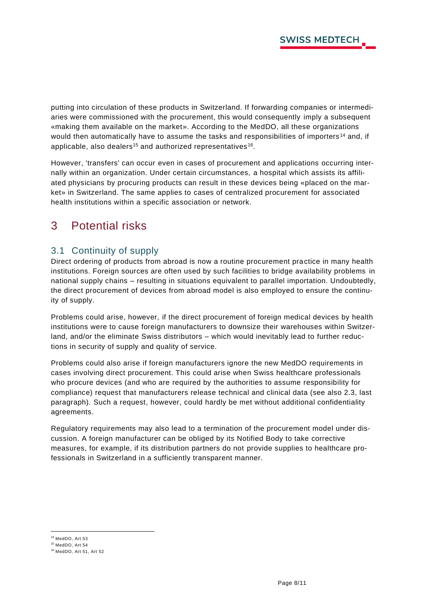putting into circulation of these products in Switzerland. If forwarding companies or intermediaries were commissioned with the procurement, this would consequently imply a subsequent «making them available on the market». According to the MedDO, all these organizations would then automatically have to assume the tasks and responsibilities of importers<sup>14</sup> and, if applicable, also dealers<sup>15</sup> and authorized representatives<sup>16</sup>.

However, 'transfers' can occur even in cases of procurement and applications occurring internally within an organization. Under certain circumstances, a hospital which assists its affiliated physicians by procuring products can result in these devices being «placed on the market» in Switzerland. The same applies to cases of centralized procurement for associated health institutions within a specific association or network.

# <span id="page-7-0"></span>3 Potential risks

### <span id="page-7-1"></span>3.1 Continuity of supply

Direct ordering of products from abroad is now a routine procurement practice in many health institutions. Foreign sources are often used by such facilities to bridge availability problems in national supply chains – resulting in situations equivalent to parallel importation. Undoubtedly, the direct procurement of devices from abroad model is also employed to ensure the continuity of supply.

Problems could arise, however, if the direct procurement of foreign medical devices by health institutions were to cause foreign manufacturers to downsize their warehouses within Switzerland, and/or the eliminate Swiss distributors – which would inevitably lead to further reductions in security of supply and quality of service.

Problems could also arise if foreign manufacturers ignore the new MedDO requirements in cases involving direct procurement. This could arise when Swiss healthcare professionals who procure devices (and who are required by the authorities to assume responsibility for compliance) request that manufacturers release technical and clinical data (see also 2.3, last paragraph). Such a request, however, could hardly be met without additional confidentiality agreements.

Regulatory requirements may also lead to a termination of the procurement model under discussion. A foreign manufacturer can be obliged by its Notified Body to take corrective measures, for example, if its distribution partners do not provide supplies to healthcare professionals in Switzerland in a sufficiently transparent manner.

<sup>14</sup> MedDO, Art 53

<sup>15</sup> MedDO, Art 54

<sup>16</sup> MedDO, Art 51, Art 52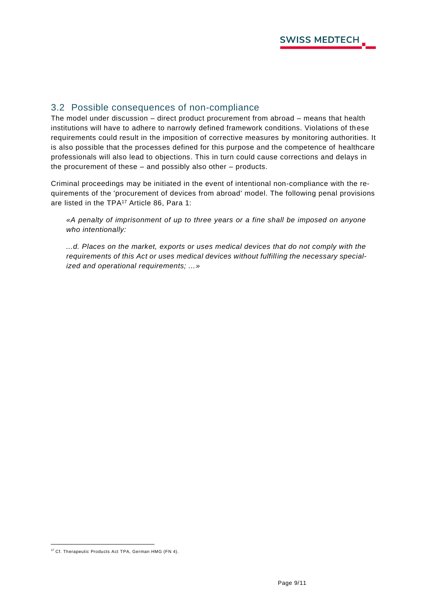#### <span id="page-8-0"></span>3.2 Possible consequences of non-compliance

The model under discussion – direct product procurement from abroad – means that health institutions will have to adhere to narrowly defined framework conditions. Violations of these requirements could result in the imposition of corrective measures by monitoring authorities. It is also possible that the processes defined for this purpose and the competence of healthcare professionals will also lead to objections. This in turn could cause corrections and delays in the procurement of these – and possibly also other – products.

Criminal proceedings may be initiated in the event of intentional non-compliance with the requirements of the 'procurement of devices from abroad' model. The following penal provisions are listed in the TPA<sup>17</sup> Article 86, Para 1:

*«A penalty of imprisonment of up to three years or a fine shall be imposed on anyone who intentionally:* 

*...d. Places on the market, exports or uses medical devices that do not comply with the requirements of this Act or uses medical devices without fulfill ing the necessary specialized and operational requirements; ...»*

<sup>&</sup>lt;sup>17</sup> Cf. Therapeutic Products Act TPA, German HMG (FN 4).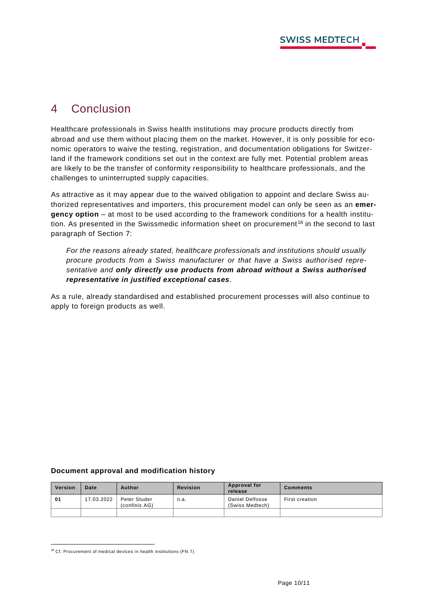## <span id="page-9-0"></span>4 Conclusion

Healthcare professionals in Swiss health institutions may procure products directly from abroad and use them without placing them on the market. However, it is only possible for economic operators to waive the testing, registration, and documentation obligations for Switzerland if the framework conditions set out in the context are fully met. Potential problem areas are likely to be the transfer of conformity responsibility to healthcare professionals, and the challenges to uninterrupted supply capacities.

As attractive as it may appear due to the waived obligation to appoint and declare Swiss authorized representatives and importers, this procurement model can only be seen as an **emergency option** – at most to be used according to the framework conditions for a health institution. As presented in the Swissmedic information sheet on procurement<sup>18</sup> in the second to last paragraph of Section 7:

*For the reasons already stated, healthcare professionals and institutions should usually procure products from a Swiss manufacturer or that have a Swiss authorised representative and only directly use products from abroad without a Swiss authorised representative in justified exceptional cases.*

As a rule, already standardised and established procurement processes will also continue to apply to foreign products as well.

#### **Document approval and modification history**

| Version | Date       | Author                        | <b>Revision</b> | Approval for<br>release                   | <b>Comments</b> |
|---------|------------|-------------------------------|-----------------|-------------------------------------------|-----------------|
| 01      | 17.03.2022 | Peter Studer<br>(confinis AG) | n.a.            | <b>Daniel Delfosse</b><br>(Swiss Medtech) | First creation  |
|         |            |                               |                 |                                           |                 |

<sup>&</sup>lt;sup>18</sup> Cf. Procurement of medical devices in health institutions (FN 7).